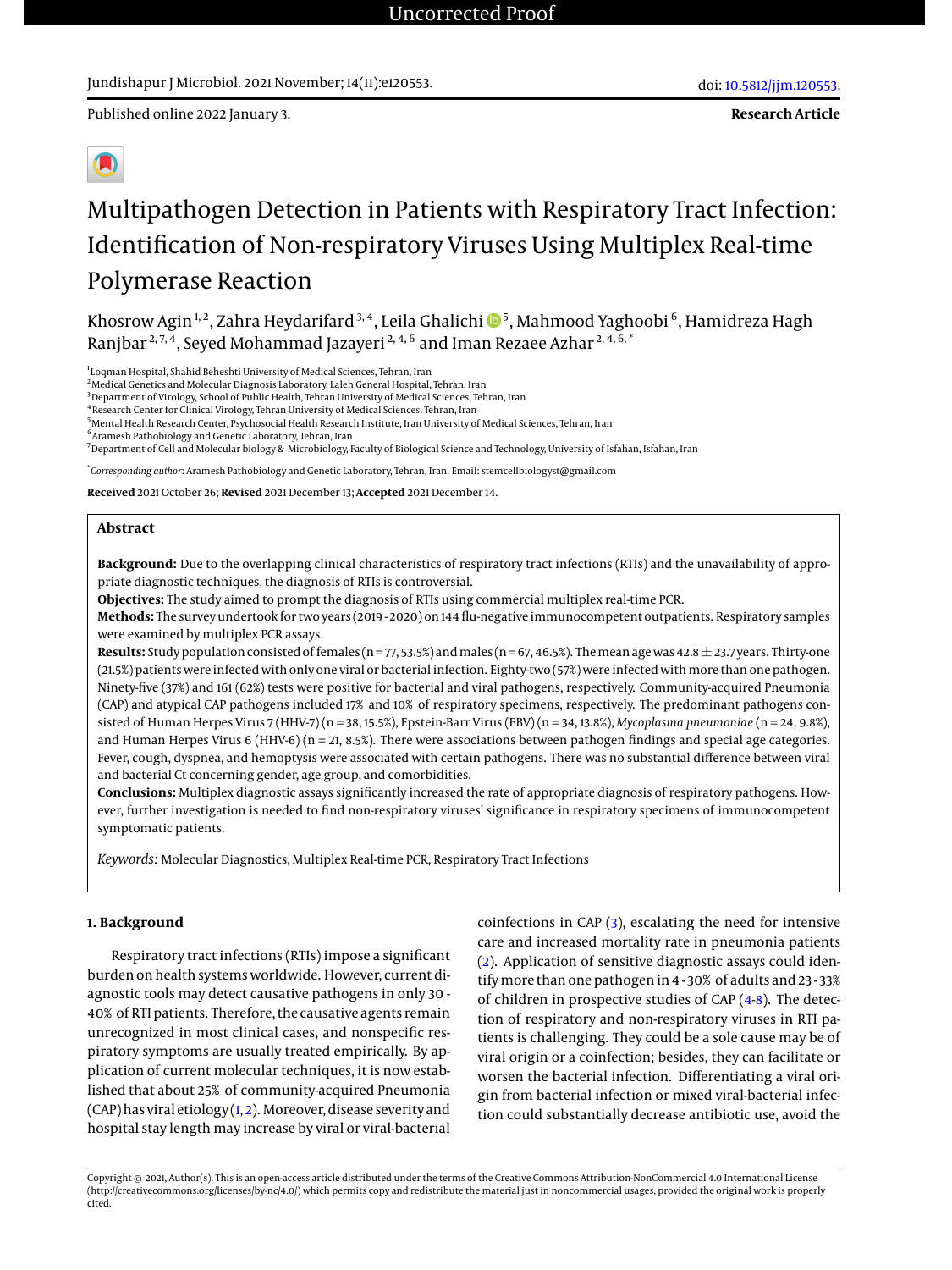# Multipathogen Detection in Patients with Respiratory Tract Infection: Identification of Non-respiratory Viruses Using Multiplex Real-time Polymerase Reaction

Khosrow Agin <sup>1, 2</sup>, Zahra Heydarifard <sup>3, 4</sup>, Leila Ghalichi �� <sup>5</sup>, Mahmood Yaghoobi <sup>6</sup>, Hamidreza Hagh Ranjbar<sup>2, 7, 4</sup>, Seyed Mohammad Jazayeri<sup>2, 4, 6</sup> and Iman Rezaee Azhar<sup>2, 4, 6, \*</sup>

1 Loqman Hospital, Shahid Beheshti University of Medical Sciences, Tehran, Iran

<sup>2</sup> Medical Genetics and Molecular Diagnosis Laboratory, Laleh General Hospital, Tehran, Iran

<sup>3</sup> Department of Virology, School of Public Health, Tehran University of Medical Sciences, Tehran, Iran

<sup>4</sup> Research Center for Clinical Virology, Tehran University of Medical Sciences, Tehran, Iran

<sup>5</sup>Mental Health Research Center, Psychosocial Health Research Institute, Iran University of Medical Sciences, Tehran, Iran

6 Aramesh Pathobiology and Genetic Laboratory, Tehran, Iran

<sup>7</sup> Department of Cell and Molecular biology & Microbiology, Faculty of Biological Science and Technology, University of Isfahan, Isfahan, Iran

\* *Corresponding author*: Aramesh Pathobiology and Genetic Laboratory, Tehran, Iran. Email: stemcellbiologyst@gmail.com

**Received** 2021 October 26; **Revised** 2021 December 13; **Accepted** 2021 December 14.

#### **Abstract**

**Background:** Due to the overlapping clinical characteristics of respiratory tract infections (RTIs) and the unavailability of appropriate diagnostic techniques, the diagnosis of RTIs is controversial.

**Objectives:** The study aimed to prompt the diagnosis of RTIs using commercial multiplex real-time PCR.

**Methods:** The survey undertook for two years (2019 - 2020) on 144 flu-negative immunocompetent outpatients. Respiratory samples were examined by multiplex PCR assays.

**Results:** Study population consisted of females (n = 77, 53.5%) and males (n = 67, 46.5%). The mean age was 42.8  $\pm$  23.7 years. Thirty-one (21.5%) patients were infected with only one viral or bacterial infection. Eighty-two (57%) were infected with more than one pathogen. Ninety-five (37%) and 161 (62%) tests were positive for bacterial and viral pathogens, respectively. Community-acquired Pneumonia (CAP) and atypical CAP pathogens included 17% and 10% of respiratory specimens, respectively. The predominant pathogens consisted of Human Herpes Virus 7 (HHV-7) (n = 38, 15.5%), Epstein-Barr Virus (EBV) (n = 34, 13.8%), *Mycoplasma pneumoniae* (n = 24, 9.8%), and Human Herpes Virus 6 (HHV-6) (n = 21, 8.5%). There were associations between pathogen findings and special age categories. Fever, cough, dyspnea, and hemoptysis were associated with certain pathogens. There was no substantial difference between viral and bacterial Ct concerning gender, age group, and comorbidities.

**Conclusions:** Multiplex diagnostic assays significantly increased the rate of appropriate diagnosis of respiratory pathogens. However, further investigation is needed to find non-respiratory viruses' significance in respiratory specimens of immunocompetent symptomatic patients.

*Keywords:* Molecular Diagnostics, Multiplex Real-time PCR, Respiratory Tract Infections

#### **1. Background**

Respiratory tract infections (RTIs) impose a significant burden on health systems worldwide. However, current diagnostic tools may detect causative pathogens in only 30 - 40% of RTI patients. Therefore, the causative agents remain unrecognized in most clinical cases, and nonspecific respiratory symptoms are usually treated empirically. By application of current molecular techniques, it is now established that about 25% of community-acquired Pneumonia (CAP) has viral etiology [\(1,](#page-6-0) [2\)](#page-6-1). Moreover, disease severity and hospital stay length may increase by viral or viral-bacterial

coinfections in CAP [\(3\)](#page-6-2), escalating the need for intensive care and increased mortality rate in pneumonia patients [\(2\)](#page-6-1). Application of sensitive diagnostic assays could identifymore than one pathogen in 4 - 30% of adults and 23 - 33% of children in prospective studies of CAP [\(4](#page-6-3)[-8\)](#page-6-4). The detection of respiratory and non-respiratory viruses in RTI patients is challenging. They could be a sole cause may be of viral origin or a coinfection; besides, they can facilitate or worsen the bacterial infection. Differentiating a viral origin from bacterial infection or mixed viral-bacterial infection could substantially decrease antibiotic use, avoid the

Copyright @ 2021, Author(s). This is an open-access article distributed under the terms of the Creative Commons Attribution-NonCommercial 4.0 International License (http://creativecommons.org/licenses/by-nc/4.0/) which permits copy and redistribute the material just in noncommercial usages, provided the original work is properly cited.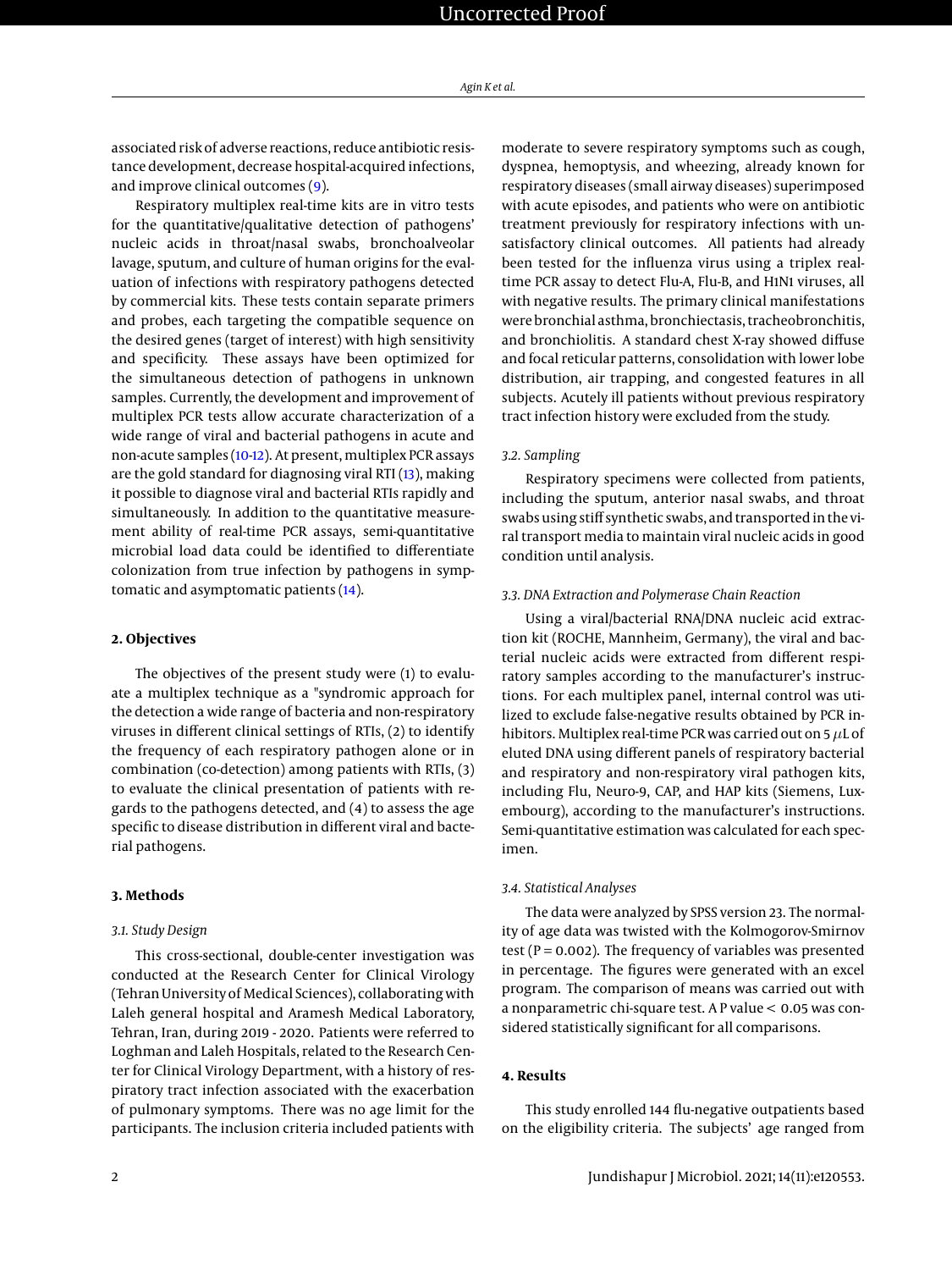associated risk of adverse reactions, reduce antibiotic resistance development, decrease hospital-acquired infections, and improve clinical outcomes [\(9\)](#page-6-5).

Respiratory multiplex real-time kits are in vitro tests for the quantitative/qualitative detection of pathogens' nucleic acids in throat/nasal swabs, bronchoalveolar lavage, sputum, and culture of human origins for the evaluation of infections with respiratory pathogens detected by commercial kits. These tests contain separate primers and probes, each targeting the compatible sequence on the desired genes (target of interest) with high sensitivity and specificity. These assays have been optimized for the simultaneous detection of pathogens in unknown samples. Currently, the development and improvement of multiplex PCR tests allow accurate characterization of a wide range of viral and bacterial pathogens in acute and non-acute samples [\(10](#page-6-6)[-12\)](#page-7-0). At present, multiplex PCR assays are the gold standard for diagnosing viral RTI [\(13\)](#page-7-1), making it possible to diagnose viral and bacterial RTIs rapidly and simultaneously. In addition to the quantitative measurement ability of real-time PCR assays, semi-quantitative microbial load data could be identified to differentiate colonization from true infection by pathogens in symptomatic and asymptomatic patients [\(14\)](#page-7-2).

#### **2. Objectives**

The objectives of the present study were (1) to evaluate a multiplex technique as a "syndromic approach for the detection a wide range of bacteria and non-respiratory viruses in different clinical settings of RTIs, (2) to identify the frequency of each respiratory pathogen alone or in combination (co-detection) among patients with RTIs, (3) to evaluate the clinical presentation of patients with regards to the pathogens detected, and (4) to assess the age specific to disease distribution in different viral and bacterial pathogens.

#### **3. Methods**

#### *3.1. Study Design*

This cross-sectional, double-center investigation was conducted at the Research Center for Clinical Virology (Tehran University of Medical Sciences), collaborating with Laleh general hospital and Aramesh Medical Laboratory, Tehran, Iran, during 2019 - 2020. Patients were referred to Loghman and Laleh Hospitals, related to the Research Center for Clinical Virology Department, with a history of respiratory tract infection associated with the exacerbation of pulmonary symptoms. There was no age limit for the participants. The inclusion criteria included patients with

moderate to severe respiratory symptoms such as cough, dyspnea, hemoptysis, and wheezing, already known for respiratory diseases (small airway diseases) superimposed with acute episodes, and patients who were on antibiotic treatment previously for respiratory infections with unsatisfactory clinical outcomes. All patients had already been tested for the influenza virus using a triplex realtime PCR assay to detect Flu-A, Flu-B, and H1N1 viruses, all with negative results. The primary clinical manifestations were bronchial asthma, bronchiectasis, tracheobronchitis, and bronchiolitis. A standard chest X-ray showed diffuse and focal reticular patterns, consolidation with lower lobe distribution, air trapping, and congested features in all subjects. Acutely ill patients without previous respiratory tract infection history were excluded from the study.

#### *3.2. Sampling*

Respiratory specimens were collected from patients, including the sputum, anterior nasal swabs, and throat swabs using stiff synthetic swabs, and transported in the viral transport media to maintain viral nucleic acids in good condition until analysis.

#### *3.3. DNA Extraction and Polymerase Chain Reaction*

Using a viral/bacterial RNA/DNA nucleic acid extraction kit (ROCHE, Mannheim, Germany), the viral and bacterial nucleic acids were extracted from different respiratory samples according to the manufacturer's instructions. For each multiplex panel, internal control was utilized to exclude false-negative results obtained by PCR inhibitors. Multiplex real-time PCR was carried out on 5  $\mu$ L of eluted DNA using different panels of respiratory bacterial and respiratory and non-respiratory viral pathogen kits, including Flu, Neuro-9, CAP, and HAP kits (Siemens, Luxembourg), according to the manufacturer's instructions. Semi-quantitative estimation was calculated for each specimen.

#### *3.4. Statistical Analyses*

The data were analyzed by SPSS version 23. The normality of age data was twisted with the Kolmogorov-Smirnov test ( $P = 0.002$ ). The frequency of variables was presented in percentage. The figures were generated with an excel program. The comparison of means was carried out with a nonparametric chi-square test. A P value < 0.05 was considered statistically significant for all comparisons.

### **4. Results**

This study enrolled 144 flu-negative outpatients based on the eligibility criteria. The subjects' age ranged from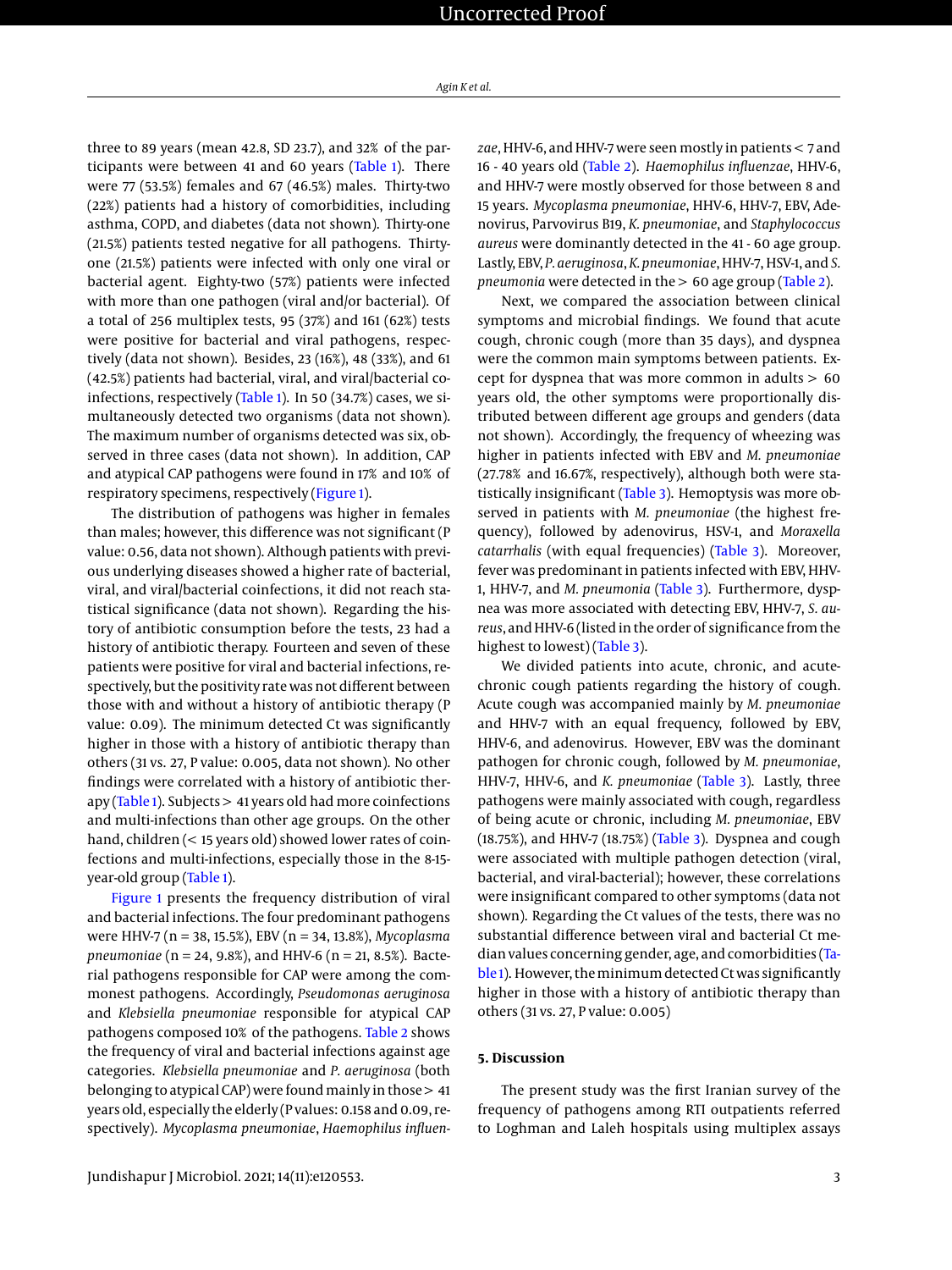three to 89 years (mean 42.8, SD 23.7), and 32% of the participants were between 41 and 60 years [\(Table 1\)](#page-3-0). There were 77 (53.5%) females and 67 (46.5%) males. Thirty-two (22%) patients had a history of comorbidities, including asthma, COPD, and diabetes (data not shown). Thirty-one (21.5%) patients tested negative for all pathogens. Thirtyone (21.5%) patients were infected with only one viral or bacterial agent. Eighty-two (57%) patients were infected with more than one pathogen (viral and/or bacterial). Of a total of 256 multiplex tests, 95 (37%) and 161 (62%) tests were positive for bacterial and viral pathogens, respectively (data not shown). Besides, 23 (16%), 48 (33%), and 61 (42.5%) patients had bacterial, viral, and viral/bacterial co-infections, respectively [\(Table 1\)](#page-3-0). In 50 (34.7%) cases, we simultaneously detected two organisms (data not shown). The maximum number of organisms detected was six, observed in three cases (data not shown). In addition, CAP and atypical CAP pathogens were found in 17% and 10% of respiratory specimens, respectively [\(Figure 1\)](#page-3-1).

The distribution of pathogens was higher in females than males; however, this difference was not significant (P value: 0.56, data not shown). Although patients with previous underlying diseases showed a higher rate of bacterial, viral, and viral/bacterial coinfections, it did not reach statistical significance (data not shown). Regarding the history of antibiotic consumption before the tests, 23 had a history of antibiotic therapy. Fourteen and seven of these patients were positive for viral and bacterial infections, respectively, but the positivity rate was not different between those with and without a history of antibiotic therapy (P value: 0.09). The minimum detected Ct was significantly higher in those with a history of antibiotic therapy than others (31 vs. 27, P value: 0.005, data not shown). No other findings were correlated with a history of antibiotic therapy [\(Table 1\)](#page-3-0). Subjects > 41 years old had more coinfections and multi-infections than other age groups. On the other hand, children (< 15 years old) showed lower rates of coinfections and multi-infections, especially those in the 8-15 year-old group [\(Table 1\)](#page-3-0).

[Figure 1](#page-3-1) presents the frequency distribution of viral and bacterial infections. The four predominant pathogens were HHV-7 (n = 38, 15.5%), EBV (n = 34, 13.8%), *Mycoplasma pneumoniae* (n = 24, 9.8%), and HHV-6 (n = 21, 8.5%). Bacterial pathogens responsible for CAP were among the commonest pathogens. Accordingly, *Pseudomonas aeruginosa* and *Klebsiella pneumoniae* responsible for atypical CAP pathogens composed 10% of the pathogens. [Table 2](#page-4-0) shows the frequency of viral and bacterial infections against age categories. *Klebsiella pneumoniae* and *P. aeruginosa* (both belonging to atypical CAP) were found mainly in those  $> 41$ years old, especially the elderly (P values: 0.158 and 0.09, respectively). *Mycoplasma pneumoniae*, *Haemophilus influen-* *zae*, HHV-6, and HHV-7 were seen mostly in patients < 7 and 16 - 40 years old [\(Table 2\)](#page-4-0). *Haemophilus influenzae*, HHV-6, and HHV-7 were mostly observed for those between 8 and 15 years. *Mycoplasma pneumoniae*, HHV-6, HHV-7, EBV, Adenovirus, Parvovirus B19, *K. pneumoniae*, and *Staphylococcus aureus* were dominantly detected in the 41 - 60 age group. Lastly, EBV, *P. aeruginosa*, *K. pneumoniae*, HHV-7, HSV-1, and *S. pneumonia* were detected in the > 60 age group [\(Table 2\)](#page-4-0).

Next, we compared the association between clinical symptoms and microbial findings. We found that acute cough, chronic cough (more than 35 days), and dyspnea were the common main symptoms between patients. Except for dyspnea that was more common in adults > 60 years old, the other symptoms were proportionally distributed between different age groups and genders (data not shown). Accordingly, the frequency of wheezing was higher in patients infected with EBV and *M. pneumoniae* (27.78% and 16.67%, respectively), although both were statistically insignificant [\(Table 3\)](#page-5-0). Hemoptysis was more observed in patients with *M. pneumoniae* (the highest frequency), followed by adenovirus, HSV-1, and *Moraxella catarrhalis* (with equal frequencies) [\(Table 3\)](#page-5-0). Moreover, fever was predominant in patients infected with EBV, HHV-1, HHV-7, and *M. pneumonia* [\(Table 3\)](#page-5-0). Furthermore, dyspnea was more associated with detecting EBV, HHV-7, *S. aureus*, and HHV-6 (listed in the order of significance from the highest to lowest) [\(Table 3\)](#page-5-0).

We divided patients into acute, chronic, and acutechronic cough patients regarding the history of cough. Acute cough was accompanied mainly by *M. pneumoniae* and HHV-7 with an equal frequency, followed by EBV, HHV-6, and adenovirus. However, EBV was the dominant pathogen for chronic cough, followed by *M. pneumoniae*, HHV-7, HHV-6, and *K. pneumoniae* [\(Table 3\)](#page-5-0). Lastly, three pathogens were mainly associated with cough, regardless of being acute or chronic, including *M. pneumoniae*, EBV (18.75%), and HHV-7 (18.75%) [\(Table 3\)](#page-5-0). Dyspnea and cough were associated with multiple pathogen detection (viral, bacterial, and viral-bacterial); however, these correlations were insignificant compared to other symptoms (data not shown). Regarding the Ct values of the tests, there was no substantial difference between viral and bacterial Ct median values concerning gender, age, and comorbidities [\(Ta](#page-3-0)[ble 1\)](#page-3-0). However, the minimum detected Ct was significantly higher in those with a history of antibiotic therapy than others (31 vs. 27, P value: 0.005)

#### **5. Discussion**

The present study was the first Iranian survey of the frequency of pathogens among RTI outpatients referred to Loghman and Laleh hospitals using multiplex assays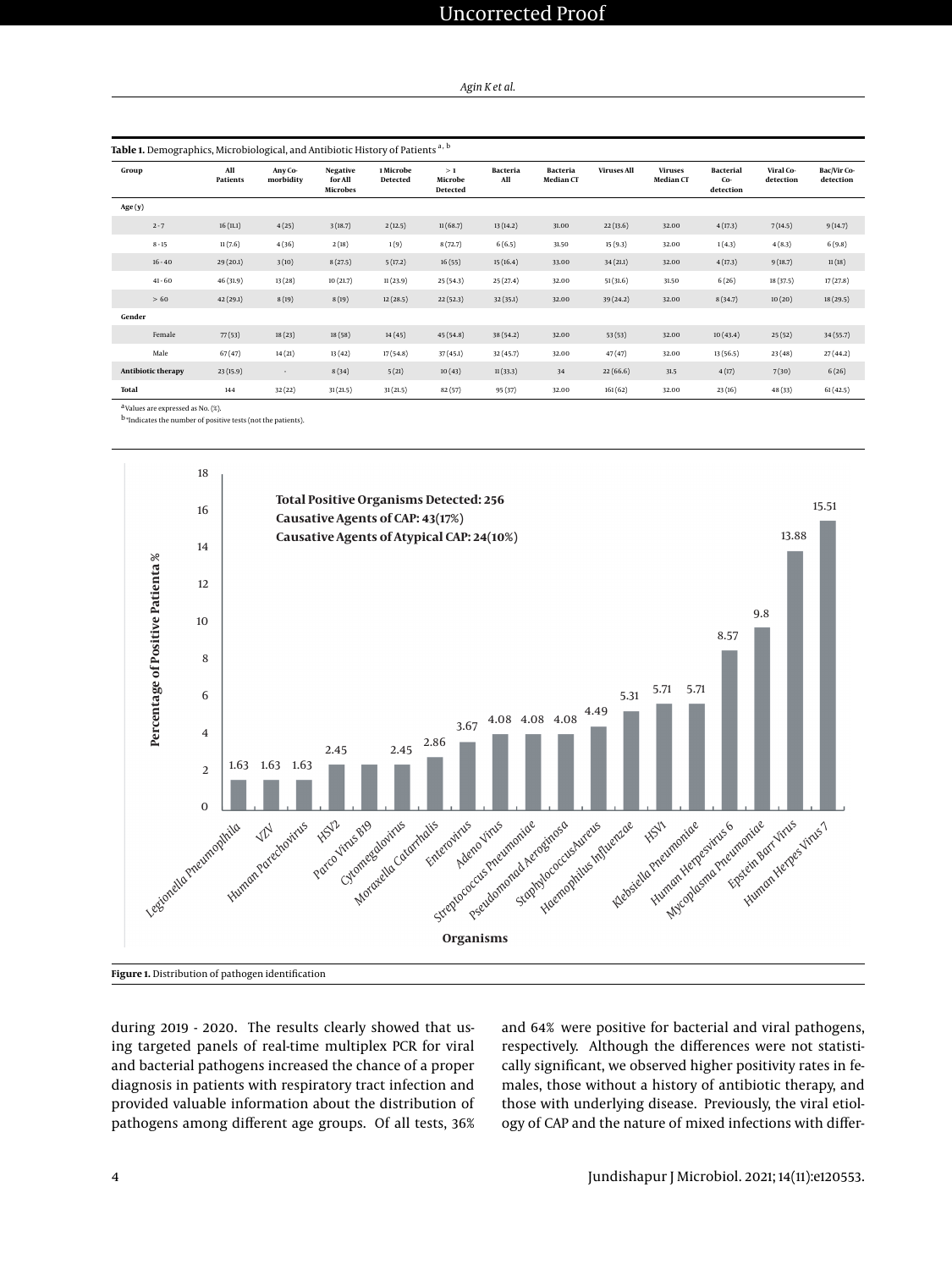# Uncorrected Proof

#### *Agin K et al.*

<span id="page-3-0"></span>

| Group                     | All<br><b>Patients</b> | Any Co-<br>morbidity | <b>Negative</b><br>for All<br><b>Microbes</b> | 1 Microbe<br><b>Detected</b> | >1<br>Microbe<br>Detected | <b>Bacteria</b><br>All | <b>Bacteria</b><br>Median CT | <b>Viruses All</b> | <b>Viruses</b><br>Median CT | <b>Bacterial</b><br>Co-<br>detection | Viral Co-<br>detection | Bac/Vir Co-<br>detection |
|---------------------------|------------------------|----------------------|-----------------------------------------------|------------------------------|---------------------------|------------------------|------------------------------|--------------------|-----------------------------|--------------------------------------|------------------------|--------------------------|
| Age(y)                    |                        |                      |                                               |                              |                           |                        |                              |                    |                             |                                      |                        |                          |
| $2 - 7$                   | 16(11.1)               | 4(25)                | 3(18.7)                                       | 2(12.5)                      | 11(68.7)                  | 13(14.2)               | 31.00                        | 22(13.6)           | 32.00                       | 4(17.3)                              | 7(14.5)                | 9(14.7)                  |
| $8 - 15$                  | 11(7.6)                | 4(36)                | 2(18)                                         | 1(9)                         | 8(72.7)                   | 6(6.5)                 | 31.50                        | 15(9.3)            | 32.00                       | 1(4.3)                               | 4(8.3)                 | 6(9.8)                   |
| $16 - 40$                 | 29(20.1)               | 3(10)                | 8(27.5)                                       | 5(17.2)                      | 16(55)                    | 15(16.4)               | 33.00                        | 34(21.1)           | 32.00                       | 4(17.3)                              | 9(18.7)                | 11(18)                   |
| $41 - 60$                 | 46(31.9)               | 13(28)               | 10(21.7)                                      | 11(23.9)                     | 25(54.3)                  | 25(27.4)               | 32.00                        | 51(31.6)           | 31.50                       | 6(26)                                | 18 (37.5)              | 17(27.8)                 |
| >60                       | 42(29.1)               | 8(19)                | 8(19)                                         | 12(28.5)                     | 22(52.3)                  | 32(35.1)               | 32.00                        | 39(24.2)           | 32.00                       | 8(34.7)                              | 10(20)                 | 18(29.5)                 |
| Gender                    |                        |                      |                                               |                              |                           |                        |                              |                    |                             |                                      |                        |                          |
| Female                    | 77(53)                 | 18(23)               | 18(58)                                        | 14(45)                       | 45(54.8)                  | 38 (54.2)              | 32.00                        | 53(53)             | 32.00                       | 10(43.4)                             | 25(52)                 | 34(55.7)                 |
| Male                      | 67(47)                 | 14(21)               | 13(42)                                        | 17(54.8)                     | 37(45.1)                  | 32(45.7)               | 32.00                        | 47(47)             | 32.00                       | 13(56.5)                             | 23(48)                 | 27(44.2)                 |
| <b>Antibiotic therapy</b> | 23(15.9)               | $\sim$               | 8(34)                                         | 5(21)                        | 10(43)                    | 11(33.3)               | 34                           | 22(66.6)           | 31.5                        | 4(17)                                | 7(30)                  | 6(26)                    |
| Total                     | 144                    | 32(22)               | 31(21.5)                                      | 31(21.5)                     | 82(57)                    | 95(37)                 | 32.00                        | 161(62)            | 32.00                       | 23(16)                               | 48(33)                 | 61(42.5)                 |

a Values are expressed as No. (%).

<span id="page-3-1"></span>b \*Indicates the number of positive tests (not the patients).



during 2019 - 2020. The results clearly showed that using targeted panels of real-time multiplex PCR for viral and bacterial pathogens increased the chance of a proper diagnosis in patients with respiratory tract infection and provided valuable information about the distribution of pathogens among different age groups. Of all tests, 36% and 64% were positive for bacterial and viral pathogens, respectively. Although the differences were not statistically significant, we observed higher positivity rates in females, those without a history of antibiotic therapy, and those with underlying disease. Previously, the viral etiology of CAP and the nature of mixed infections with differ-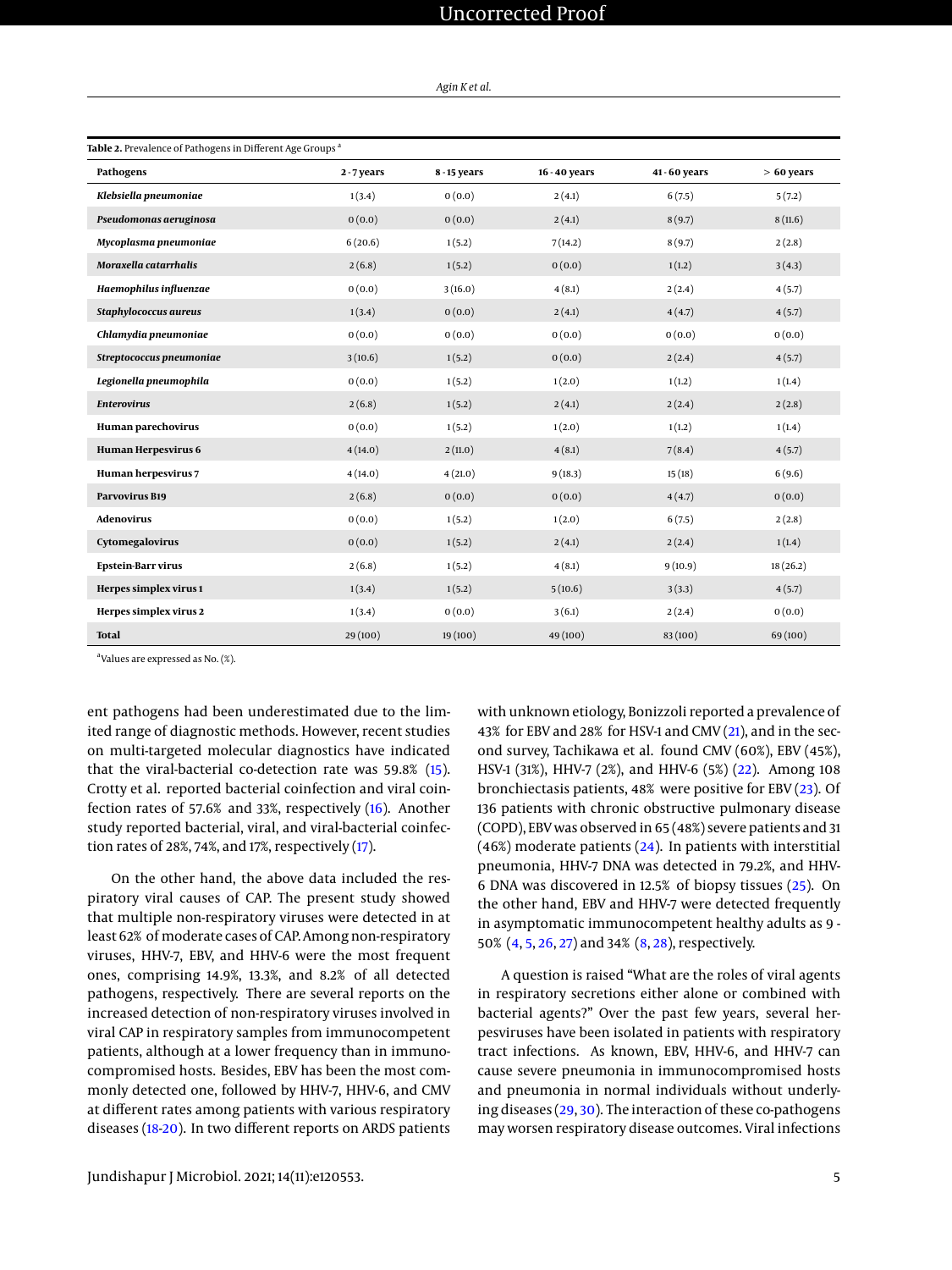## Uncorrected Proof

#### *Agin K et al.*

<span id="page-4-0"></span>

| Table 2. Prevalence of Pathogens in Different Age Groups <sup>a</sup> |           |              |               |             |              |  |  |  |
|-----------------------------------------------------------------------|-----------|--------------|---------------|-------------|--------------|--|--|--|
| Pathogens                                                             | 2-7 years | 8 - 15 years | 16 - 40 years | 41-60 years | $> 60$ years |  |  |  |
| Klebsiella pneumoniae                                                 | 1(3.4)    | 0(0.0)       | 2(4.1)        | 6(7.5)      | 5(7.2)       |  |  |  |
| Pseudomonas aeruginosa                                                | 0(0.0)    | 0(0.0)       | 2(4.1)        | 8(9.7)      | 8(11.6)      |  |  |  |
| Mycoplasma pneumoniae                                                 | 6(20.6)   | 1(5.2)       | 7(14.2)       | 8(9.7)      | 2(2.8)       |  |  |  |
| Moraxella catarrhalis                                                 | 2(6.8)    | 1(5.2)       | 0(0.0)        | 1(1.2)      | 3(4.3)       |  |  |  |
| Haemophilus influenzae                                                | 0(0.0)    | 3(16.0)      | 4(8.1)        | 2(2.4)      | 4(5.7)       |  |  |  |
| Staphylococcus aureus                                                 | 1(3.4)    | 0(0.0)       | 2(4.1)        | 4(4.7)      | 4(5.7)       |  |  |  |
| Chlamydia pneumoniae                                                  | 0(0.0)    | 0(0.0)       | 0(0.0)        | 0(0.0)      | 0(0.0)       |  |  |  |
| Streptococcus pneumoniae                                              | 3(10.6)   | 1(5.2)       | 0(0.0)        | 2(2.4)      | 4(5.7)       |  |  |  |
| Legionella pneumophila                                                | 0(0.0)    | 1(5.2)       | 1(2.0)        | 1(1.2)      | 1(1.4)       |  |  |  |
| <b>Enterovirus</b>                                                    | 2(6.8)    | 1(5.2)       | 2(4.1)        | 2(2.4)      | 2(2.8)       |  |  |  |
| Human parechovirus                                                    | 0(0.0)    | 1(5.2)       | 1(2.0)        | 1(1.2)      | 1(1.4)       |  |  |  |
| Human Herpesvirus 6                                                   | 4(14.0)   | 2(11.0)      | 4(8.1)        | 7(8.4)      | 4(5.7)       |  |  |  |
| Human herpesvirus 7                                                   | 4(14.0)   | 4(21.0)      | 9(18.3)       | 15(18)      | 6(9.6)       |  |  |  |
| <b>Parvovirus B19</b>                                                 | 2(6.8)    | 0(0.0)       | 0(0.0)        | 4(4.7)      | 0(0.0)       |  |  |  |
| <b>Adenovirus</b>                                                     | 0(0.0)    | 1(5.2)       | 1(2.0)        | 6(7.5)      | 2(2.8)       |  |  |  |
| Cytomegalovirus                                                       | 0(0.0)    | 1(5.2)       | 2(4.1)        | 2(2.4)      | 1(1.4)       |  |  |  |
| <b>Epstein-Barr virus</b>                                             | 2(6.8)    | 1(5.2)       | 4(8.1)        | 9(10.9)     | 18(26.2)     |  |  |  |
| Herpes simplex virus 1                                                | 1(3.4)    | 1(5.2)       | 5(10.6)       | 3(3.3)      | 4(5.7)       |  |  |  |
| Herpes simplex virus 2                                                | 1(3.4)    | 0(0.0)       | 3(6.1)        | 2(2.4)      | 0(0.0)       |  |  |  |
| <b>Total</b>                                                          | 29 (100)  | 19 (100)     | 49 (100)      | 83 (100)    | 69 (100)     |  |  |  |

a Values are expressed as No. (%).

ent pathogens had been underestimated due to the limited range of diagnostic methods. However, recent studies on multi-targeted molecular diagnostics have indicated that the viral-bacterial co-detection rate was 59.8% [\(15\)](#page-7-3). Crotty et al. reported bacterial coinfection and viral coinfection rates of 57.6% and 33%, respectively [\(16\)](#page-7-4). Another study reported bacterial, viral, and viral-bacterial coinfection rates of 28%, 74%, and 17%, respectively  $(17)$ .

On the other hand, the above data included the respiratory viral causes of CAP. The present study showed that multiple non-respiratory viruses were detected in at least 62% of moderate cases of CAP. Among non-respiratory viruses, HHV-7, EBV, and HHV-6 were the most frequent ones, comprising 14.9%, 13.3%, and 8.2% of all detected pathogens, respectively. There are several reports on the increased detection of non-respiratory viruses involved in viral CAP in respiratory samples from immunocompetent patients, although at a lower frequency than in immunocompromised hosts. Besides, EBV has been the most commonly detected one, followed by HHV-7, HHV-6, and CMV at different rates among patients with various respiratory diseases [\(18](#page-7-6)[-20\)](#page-7-7). In two different reports on ARDS patients

with unknown etiology, Bonizzoli reported a prevalence of 43% for EBV and 28% for HSV-1 and CMV [\(21\)](#page-7-8), and in the second survey, Tachikawa et al. found CMV (60%), EBV (45%), HSV-1 (31%), HHV-7 (2%), and HHV-6 (5%) [\(22\)](#page-7-9). Among 108 bronchiectasis patients, 48% were positive for EBV [\(23\)](#page-7-10). Of 136 patients with chronic obstructive pulmonary disease (COPD), EBV was observed in 65 (48%) severe patients and 31  $(46%)$  moderate patients  $(24)$ . In patients with interstitial pneumonia, HHV-7 DNA was detected in 79.2%, and HHV-6 DNA was discovered in 12.5% of biopsy tissues [\(25\)](#page-7-12). On the other hand, EBV and HHV-7 were detected frequently in asymptomatic immunocompetent healthy adults as 9 - 50% [\(4,](#page-6-3) [5,](#page-6-7) [26,](#page-7-13) [27\)](#page-7-14) and 34% [\(8,](#page-6-4) [28\)](#page-7-15), respectively.

A question is raised "What are the roles of viral agents in respiratory secretions either alone or combined with bacterial agents?" Over the past few years, several herpesviruses have been isolated in patients with respiratory tract infections. As known, EBV, HHV-6, and HHV-7 can cause severe pneumonia in immunocompromised hosts and pneumonia in normal individuals without underlying diseases [\(29,](#page-7-16) [30\)](#page-7-17). The interaction of these co-pathogens may worsen respiratory disease outcomes. Viral infections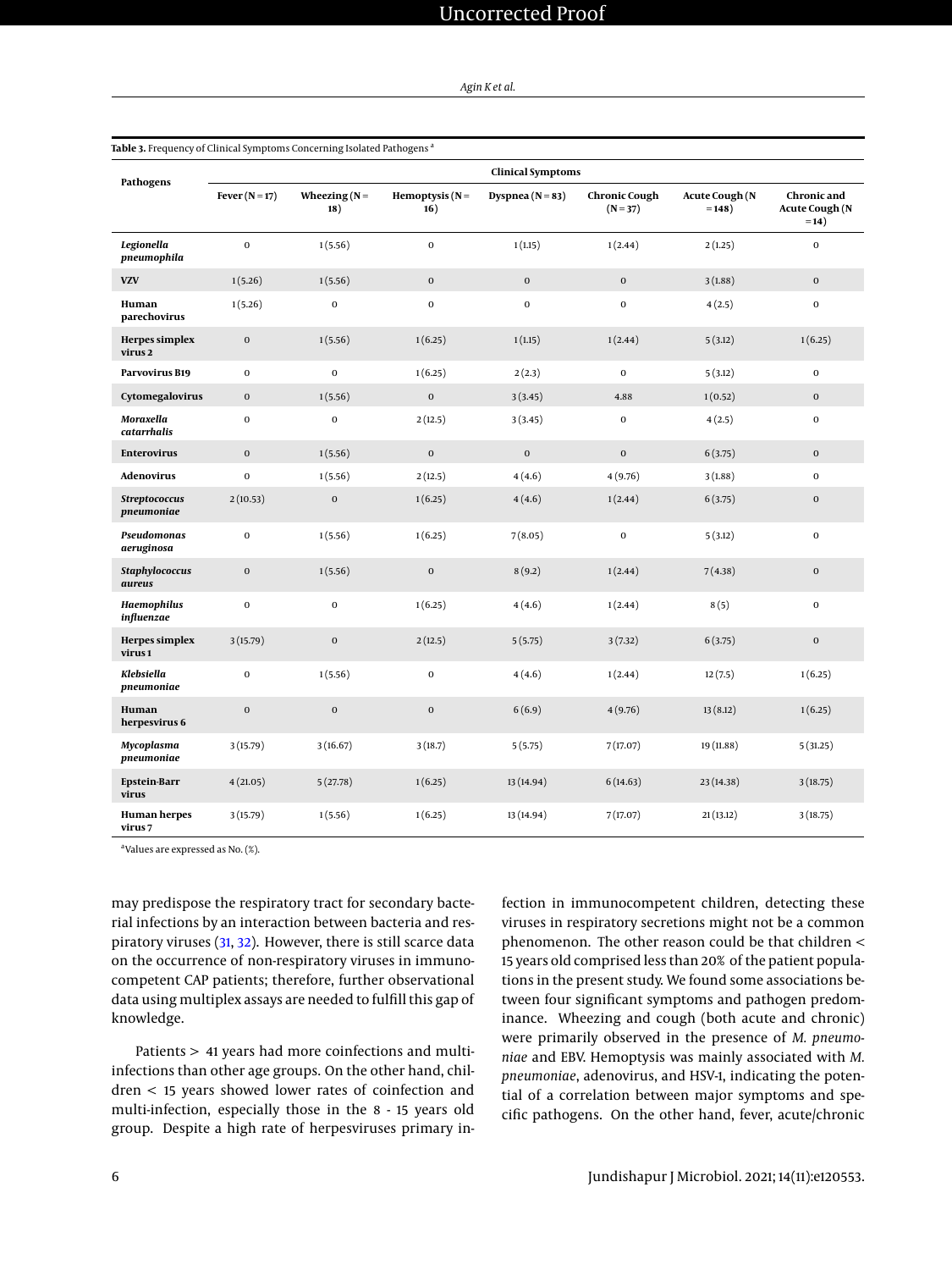|  | Agin K et al. |  |  |  |
|--|---------------|--|--|--|
|--|---------------|--|--|--|

|                                           | <b>Clinical Symptoms</b> |                        |                          |                    |                                    |                                    |                                                |  |  |
|-------------------------------------------|--------------------------|------------------------|--------------------------|--------------------|------------------------------------|------------------------------------|------------------------------------------------|--|--|
| Pathogens                                 | Fever $(N=17)$           | Wheezing $(N =$<br>18) | Hemoptysis $(N =$<br>16) | Dyspnea $(N = 83)$ | <b>Chronic Cough</b><br>$(N = 37)$ | <b>Acute Cough (N</b><br>$= 148$ ) | Chronic and<br><b>Acute Cough (N</b><br>$=14)$ |  |  |
| Legionella<br>pneumophila                 | $\mathbf 0$              | 1(5.56)                | $\boldsymbol{0}$         | 1(1.15)            | 1(2.44)                            | 2(1.25)                            | $\bf{0}$                                       |  |  |
| <b>VZV</b>                                | 1(5.26)                  | 1(5.56)                | $\mathbf 0$              | $\mathbf 0$        | $\mathbf 0$                        | 3(1.88)                            | $\mathbf{0}$                                   |  |  |
| Human<br>parechovirus                     | 1(5.26)                  | $\boldsymbol{0}$       | $\bf{0}$                 | $\mathbf 0$        | $\mathbf 0$                        | 4(2.5)                             | $\mathbf{0}$                                   |  |  |
| <b>Herpes</b> simplex<br>virus 2          | $\mathbf 0$              | 1(5.56)                | 1(6.25)                  | 1(1.15)            | 1(2.44)                            | 5(3.12)                            | 1(6.25)                                        |  |  |
| Parvovirus B19                            | $\mathbf 0$              | $\mathbf 0$            | 1(6.25)                  | 2(2.3)             | $\mathbf 0$                        | 5(3.12)                            | $\bf{0}$                                       |  |  |
| Cytomegalovirus                           | $\mathbf 0$              | 1(5.56)                | $\boldsymbol{0}$         | 3(3.45)            | 4.88                               | 1(0.52)                            | $\mathbf 0$                                    |  |  |
| Moraxella<br>catarrhalis                  | $\mathbf{O}$             | $\mathbf 0$            | 2(12.5)                  | 3(3.45)            | $\mathbf 0$                        | 4(2.5)                             | $\mathbf{0}$                                   |  |  |
| <b>Enterovirus</b>                        | $\mathbf 0$              | 1(5.56)                | $\mathbf 0$              | $\mathbf 0$        | $\mathbf 0$                        | 6(3.75)                            | $\mathbf{0}$                                   |  |  |
| <b>Adenovirus</b>                         | $\mathbf 0$              | 1(5.56)                | 2(12.5)                  | 4(4.6)             | 4(9.76)                            | 3(1.88)                            | $\bf{0}$                                       |  |  |
| Streptococcus<br>pneumoniae               | 2(10.53)                 | $\bf{0}$               | 1(6.25)                  | 4(4.6)             | 1(2.44)                            | 6(3.75)                            | $\mathbf 0$                                    |  |  |
| Pseudomonas<br>aeruginosa                 | $\mathbf 0$              | 1(5.56)                | 1(6.25)                  | 7(8.05)            | $\mathbf 0$                        | 5(3.12)                            | $\mathbf 0$                                    |  |  |
| Staphylococcus<br>aureus                  | $\mathbf 0$              | 1(5.56)                | $\mathbf 0$              | 8(9.2)             | 1(2.44)                            | 7(4.38)                            | $\mathbf{0}$                                   |  |  |
| Haemophilus<br>influenzae                 | $\mathbf 0$              | $\mathbf 0$            | 1(6.25)                  | 4(4.6)             | 1(2.44)                            | 8(5)                               | $\bf{0}$                                       |  |  |
| Herpes simplex<br>virus 1                 | 3(15.79)                 | $\boldsymbol{0}$       | 2(12.5)                  | 5(5.75)            | 3(7.32)                            | 6(3.75)                            | $\mathbf{0}$                                   |  |  |
| Klebsiella<br>pneumoniae                  | $\mathbf 0$              | 1(5.56)                | $\mathbf 0$              | 4(4.6)             | 1(2.44)                            | 12(7.5)                            | 1(6.25)                                        |  |  |
| Human<br>herpesvirus 6                    | $\mathbf 0$              | $\mathbf 0$            | $\mathbf 0$              | 6(6.9)             | 4(9.76)                            | 13(8.12)                           | 1(6.25)                                        |  |  |
| Mycoplasma<br>pneumoniae                  | 3(15.79)                 | 3(16.67)               | 3(18.7)                  | 5(5.75)            | 7(17.07)                           | 19 (11.88)                         | 5(31.25)                                       |  |  |
| <b>Epstein-Barr</b><br>virus              | 4(21.05)                 | 5(27.78)               | 1(6.25)                  | 13 (14.94)         | 6(14.63)                           | 23 (14.38)                         | 3(18.75)                                       |  |  |
| <b>Human herpes</b><br>virus <sub>7</sub> | 3(15.79)                 | 1(5.56)                | 1(6.25)                  | 13 (14.94)         | 7(17.07)                           | 21(13.12)                          | 3(18.75)                                       |  |  |

#### <span id="page-5-0"></span>**Table 3.** Frequency of Clinical Symptoms Concerning Isolated Pathogens<sup>a</sup>

a Values are expressed as No. (%).

may predispose the respiratory tract for secondary bacterial infections by an interaction between bacteria and respiratory viruses [\(31,](#page-7-18) [32\)](#page-7-19). However, there is still scarce data on the occurrence of non-respiratory viruses in immunocompetent CAP patients; therefore, further observational data using multiplex assays are needed to fulfill this gap of knowledge.

Patients > 41 years had more coinfections and multiinfections than other age groups. On the other hand, children < 15 years showed lower rates of coinfection and multi-infection, especially those in the 8 - 15 years old group. Despite a high rate of herpesviruses primary infection in immunocompetent children, detecting these viruses in respiratory secretions might not be a common phenomenon. The other reason could be that children < 15 years old comprised less than 20% of the patient populations in the present study. We found some associations between four significant symptoms and pathogen predominance. Wheezing and cough (both acute and chronic) were primarily observed in the presence of *M. pneumoniae* and EBV. Hemoptysis was mainly associated with *M. pneumoniae*, adenovirus, and HSV-1, indicating the potential of a correlation between major symptoms and specific pathogens. On the other hand, fever, acute/chronic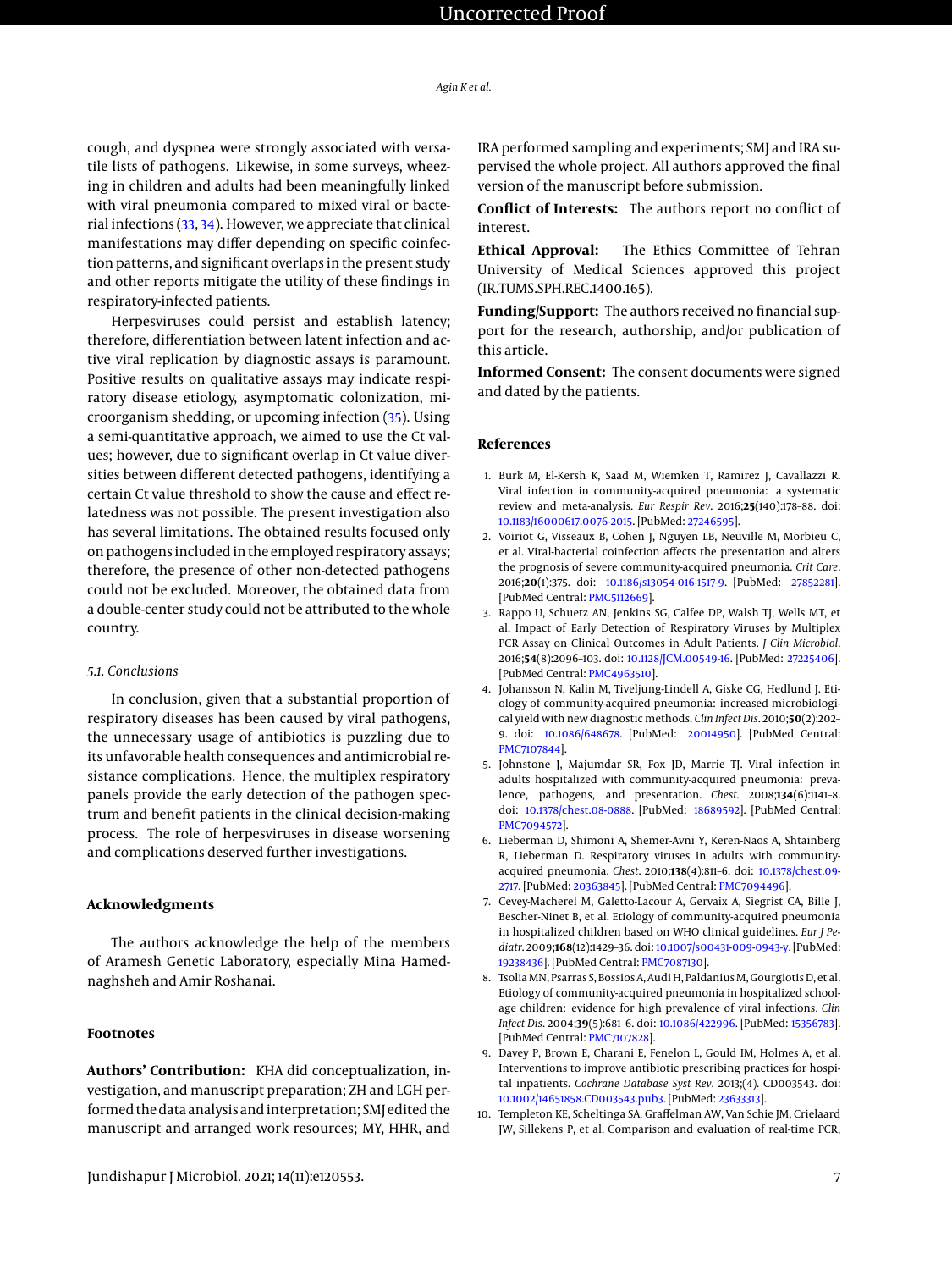cough, and dyspnea were strongly associated with versatile lists of pathogens. Likewise, in some surveys, wheezing in children and adults had been meaningfully linked with viral pneumonia compared to mixed viral or bacterial infections [\(33,](#page-7-20) [34\)](#page-7-21). However, we appreciate that clinical manifestations may differ depending on specific coinfection patterns, and significant overlaps in the present study and other reports mitigate the utility of these findings in respiratory-infected patients.

Herpesviruses could persist and establish latency; therefore, differentiation between latent infection and active viral replication by diagnostic assays is paramount. Positive results on qualitative assays may indicate respiratory disease etiology, asymptomatic colonization, microorganism shedding, or upcoming infection [\(35\)](#page-7-22). Using a semi-quantitative approach, we aimed to use the Ct values; however, due to significant overlap in Ct value diversities between different detected pathogens, identifying a certain Ct value threshold to show the cause and effect relatedness was not possible. The present investigation also has several limitations. The obtained results focused only on pathogens included in the employed respiratory assays; therefore, the presence of other non-detected pathogens could not be excluded. Moreover, the obtained data from a double-center study could not be attributed to the whole country.

#### *5.1. Conclusions*

In conclusion, given that a substantial proportion of respiratory diseases has been caused by viral pathogens, the unnecessary usage of antibiotics is puzzling due to its unfavorable health consequences and antimicrobial resistance complications. Hence, the multiplex respiratory panels provide the early detection of the pathogen spectrum and benefit patients in the clinical decision-making process. The role of herpesviruses in disease worsening and complications deserved further investigations.

#### **Acknowledgments**

The authors acknowledge the help of the members of Aramesh Genetic Laboratory, especially Mina Hamednaghsheh and Amir Roshanai.

#### **Footnotes**

**Authors' Contribution:** KHA did conceptualization, investigation, and manuscript preparation; ZH and LGH performed the data analysis and interpretation; SMJ edited the manuscript and arranged work resources; MY, HHR, and

IRA performed sampling and experiments; SMJ and IRA supervised the whole project. All authors approved the final version of the manuscript before submission.

**Conflict of Interests:** The authors report no conflict of interest.

**Ethical Approval:** The Ethics Committee of Tehran University of Medical Sciences approved this project (IR.TUMS.SPH.REC.1400.165).

**Funding/Support:** The authors received no financial support for the research, authorship, and/or publication of this article.

**Informed Consent:** The consent documents were signed and dated by the patients.

#### **References**

- <span id="page-6-0"></span>1. Burk M, El-Kersh K, Saad M, Wiemken T, Ramirez J, Cavallazzi R. Viral infection in community-acquired pneumonia: a systematic review and meta-analysis. *Eur Respir Rev*. 2016;**25**(140):178–88. doi: [10.1183/16000617.0076-2015.](http://dx.doi.org/10.1183/16000617.0076-2015) [PubMed: [27246595\]](http://www.ncbi.nlm.nih.gov/pubmed/27246595).
- <span id="page-6-1"></span>2. Voiriot G, Visseaux B, Cohen J, Nguyen LB, Neuville M, Morbieu C, et al. Viral-bacterial coinfection affects the presentation and alters the prognosis of severe community-acquired pneumonia. *Crit Care*. 2016;**20**(1):375. doi: [10.1186/s13054-016-1517-9.](http://dx.doi.org/10.1186/s13054-016-1517-9) [PubMed: [27852281\]](http://www.ncbi.nlm.nih.gov/pubmed/27852281). [PubMed Central: [PMC5112669\]](https://www.ncbi.nlm.nih.gov/pmc/articles/PMC5112669).
- <span id="page-6-2"></span>3. Rappo U, Schuetz AN, Jenkins SG, Calfee DP, Walsh TJ, Wells MT, et al. Impact of Early Detection of Respiratory Viruses by Multiplex PCR Assay on Clinical Outcomes in Adult Patients. *J Clin Microbiol*. 2016;**54**(8):2096–103. doi: [10.1128/JCM.00549-16.](http://dx.doi.org/10.1128/JCM.00549-16) [PubMed: [27225406\]](http://www.ncbi.nlm.nih.gov/pubmed/27225406). [PubMed Central: [PMC4963510\]](https://www.ncbi.nlm.nih.gov/pmc/articles/PMC4963510).
- <span id="page-6-3"></span>4. Johansson N, Kalin M, Tiveljung-Lindell A, Giske CG, Hedlund J. Etiology of community-acquired pneumonia: increased microbiological yield with new diagnostic methods. *Clin Infect Dis*. 2010;**50**(2):202– 9. doi: [10.1086/648678.](http://dx.doi.org/10.1086/648678) [PubMed: [20014950\]](http://www.ncbi.nlm.nih.gov/pubmed/20014950). [PubMed Central: [PMC7107844\]](https://www.ncbi.nlm.nih.gov/pmc/articles/PMC7107844).
- <span id="page-6-7"></span>5. Johnstone J, Majumdar SR, Fox JD, Marrie TJ. Viral infection in adults hospitalized with community-acquired pneumonia: prevalence, pathogens, and presentation. *Chest*. 2008;**134**(6):1141–8. doi: [10.1378/chest.08-0888.](http://dx.doi.org/10.1378/chest.08-0888) [PubMed: [18689592\]](http://www.ncbi.nlm.nih.gov/pubmed/18689592). [PubMed Central: [PMC7094572\]](https://www.ncbi.nlm.nih.gov/pmc/articles/PMC7094572).
- 6. Lieberman D, Shimoni A, Shemer-Avni Y, Keren-Naos A, Shtainberg R, Lieberman D. Respiratory viruses in adults with communityacquired pneumonia. *Chest*. 2010;**138**(4):811–6. doi: [10.1378/chest.09-](http://dx.doi.org/10.1378/chest.09-2717) [2717.](http://dx.doi.org/10.1378/chest.09-2717) [PubMed: [20363845\]](http://www.ncbi.nlm.nih.gov/pubmed/20363845). [PubMed Central: [PMC7094496\]](https://www.ncbi.nlm.nih.gov/pmc/articles/PMC7094496).
- 7. Cevey-Macherel M, Galetto-Lacour A, Gervaix A, Siegrist CA, Bille J, Bescher-Ninet B, et al. Etiology of community-acquired pneumonia in hospitalized children based on WHO clinical guidelines. *Eur J Pediatr*. 2009;**168**(12):1429–36. doi: [10.1007/s00431-009-0943-y.](http://dx.doi.org/10.1007/s00431-009-0943-y) [PubMed: [19238436\]](http://www.ncbi.nlm.nih.gov/pubmed/19238436). [PubMed Central: [PMC7087130\]](https://www.ncbi.nlm.nih.gov/pmc/articles/PMC7087130).
- <span id="page-6-4"></span>8. Tsolia MN, Psarras S, Bossios A, Audi H, Paldanius M, Gourgiotis D, et al. Etiology of community-acquired pneumonia in hospitalized schoolage children: evidence for high prevalence of viral infections. *Clin Infect Dis*. 2004;**39**(5):681–6. doi: [10.1086/422996.](http://dx.doi.org/10.1086/422996) [PubMed: [15356783\]](http://www.ncbi.nlm.nih.gov/pubmed/15356783). [PubMed Central: [PMC7107828\]](https://www.ncbi.nlm.nih.gov/pmc/articles/PMC7107828).
- <span id="page-6-5"></span>9. Davey P, Brown E, Charani E, Fenelon L, Gould IM, Holmes A, et al. Interventions to improve antibiotic prescribing practices for hospital inpatients. *Cochrane Database Syst Rev*. 2013;(4). CD003543. doi: [10.1002/14651858.CD003543.pub3.](http://dx.doi.org/10.1002/14651858.CD003543.pub3) [PubMed: [23633313\]](http://www.ncbi.nlm.nih.gov/pubmed/23633313).
- <span id="page-6-6"></span>10. Templeton KE, Scheltinga SA, Graffelman AW, Van Schie JM, Crielaard JW, Sillekens P, et al. Comparison and evaluation of real-time PCR,